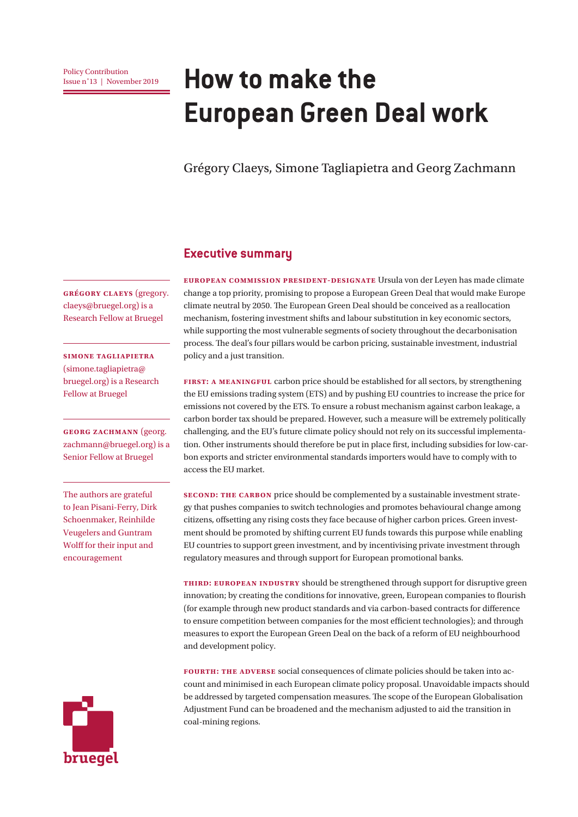# **How to make the European Green Deal work**

Grégory Claeys, Simone Tagliapietra and Georg Zachmann

#### **Executive summary**

**European Commission president-designate** Ursula von der Leyen has made climate change a top priority, promising to propose a European Green Deal that would make Europe climate neutral by 2050. The European Green Deal should be conceived as a reallocation mechanism, fostering investment shifts and labour substitution in key economic sectors, while supporting the most vulnerable segments of society throughout the decarbonisation process. The deal's four pillars would be carbon pricing, sustainable investment, industrial policy and a just transition.

**First: a meaningful** carbon price should be established for all sectors, by strengthening the EU emissions trading system (ETS) and by pushing EU countries to increase the price for emissions not covered by the ETS. To ensure a robust mechanism against carbon leakage, a carbon border tax should be prepared. However, such a measure will be extremely politically challenging, and the EU's future climate policy should not rely on its successful implementation. Other instruments should therefore be put in place first, including subsidies for low-carbon exports and stricter environmental standards importers would have to comply with to access the EU market.

**Second: the carbon** price should be complemented by a sustainable investment strategy that pushes companies to switch technologies and promotes behavioural change among citizens, offsetting any rising costs they face because of higher carbon prices. Green investment should be promoted by shifting current EU funds towards this purpose while enabling EU countries to support green investment, and by incentivising private investment through regulatory measures and through support for European promotional banks.

**Third: European industry** should be strengthened through support for disruptive green innovation; by creating the conditions for innovative, green, European companies to flourish (for example through new product standards and via carbon-based contracts for difference to ensure competition between companies for the most efficient technologies); and through measures to export the European Green Deal on the back of a reform of EU neighbourhood and development policy.

**Fourth: the adverse** social consequences of climate policies should be taken into account and minimised in each European climate policy proposal. Unavoidable impacts should be addressed by targeted compensation measures. The scope of the European Globalisation Adjustment Fund can be broadened and the mechanism adjusted to aid the transition in coal-mining regions.

**Grégory Claeys** (gregory. claeys@bruegel.org) is a Research Fellow at Bruegel

**Simone Tagliapietra**  (simone.tagliapietra@ bruegel.org) is a Research Fellow at Bruegel

**GEORG ZACHMANN** (georg. zachmann@bruegel.org) is a Senior Fellow at Bruegel

The authors are grateful to Jean Pisani-Ferry, Dirk Schoenmaker, Reinhilde Veugelers and Guntram Wolff for their input and encouragement

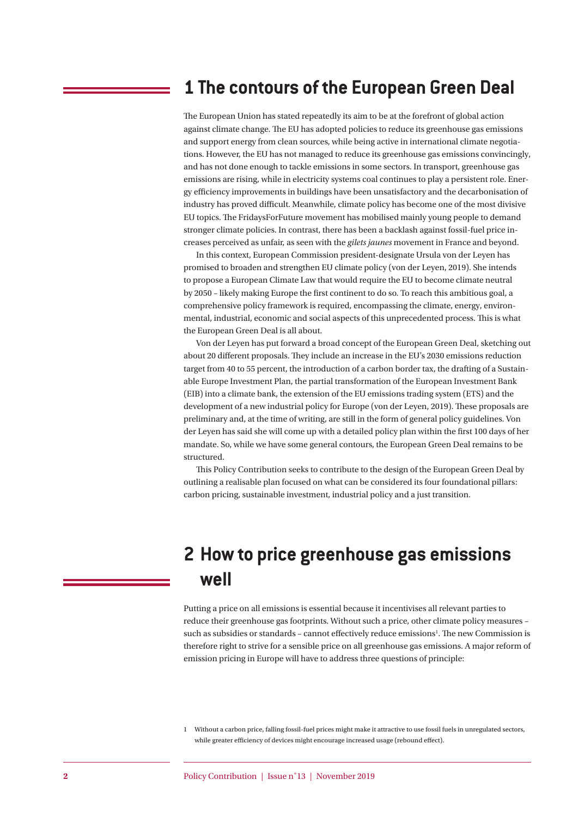### **1 The contours of the European Green Deal**

The European Union has stated repeatedly its aim to be at the forefront of global action against climate change. The EU has adopted policies to reduce its greenhouse gas emissions and support energy from clean sources, while being active in international climate negotiations. However, the EU has not managed to reduce its greenhouse gas emissions convincingly, and has not done enough to tackle emissions in some sectors. In transport, greenhouse gas emissions are rising, while in electricity systems coal continues to play a persistent role. Energy efficiency improvements in buildings have been unsatisfactory and the decarbonisation of industry has proved difficult. Meanwhile, climate policy has become one of the most divisive EU topics. The FridaysForFuture movement has mobilised mainly young people to demand stronger climate policies. In contrast, there has been a backlash against fossil-fuel price increases perceived as unfair, as seen with the *gilets jaunes* movement in France and beyond.

In this context, European Commission president-designate Ursula von der Leyen has promised to broaden and strengthen EU climate policy (von der Leyen, 2019). She intends to propose a European Climate Law that would require the EU to become climate neutral by 2050 – likely making Europe the first continent to do so. To reach this ambitious goal, a comprehensive policy framework is required, encompassing the climate, energy, environmental, industrial, economic and social aspects of this unprecedented process. This is what the European Green Deal is all about.

Von der Leyen has put forward a broad concept of the European Green Deal, sketching out about 20 different proposals. They include an increase in the EU's 2030 emissions reduction target from 40 to 55 percent, the introduction of a carbon border tax, the drafting of a Sustainable Europe Investment Plan, the partial transformation of the European Investment Bank (EIB) into a climate bank, the extension of the EU emissions trading system (ETS) and the development of a new industrial policy for Europe (von der Leyen, 2019). These proposals are preliminary and, at the time of writing, are still in the form of general policy guidelines. Von der Leyen has said she will come up with a detailed policy plan within the first 100 days of her mandate. So, while we have some general contours, the European Green Deal remains to be structured.

This Policy Contribution seeks to contribute to the design of the European Green Deal by outlining a realisable plan focused on what can be considered its four foundational pillars: carbon pricing, sustainable investment, industrial policy and a just transition.

# **2 How to price greenhouse gas emissions well**

Putting a price on all emissions is essential because it incentivises all relevant parties to reduce their greenhouse gas footprints. Without such a price, other climate policy measures – such as subsidies or standards - cannot effectively reduce emissions<sup>1</sup>. The new Commission is therefore right to strive for a sensible price on all greenhouse gas emissions. A major reform of emission pricing in Europe will have to address three questions of principle:

<sup>1</sup> Without a carbon price, falling fossil-fuel prices might make it attractive to use fossil fuels in unregulated sectors, while greater efficiency of devices might encourage increased usage (rebound effect).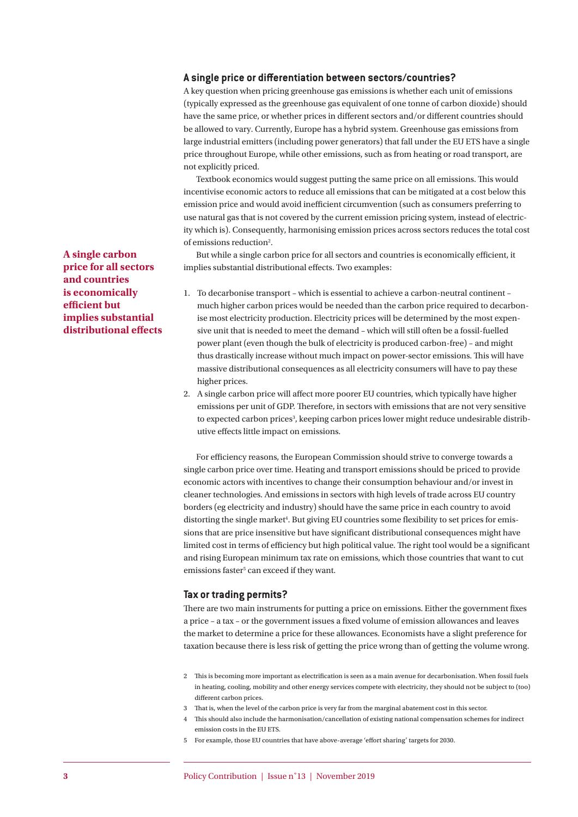#### A single price or differentiation between sectors/countries?

A key question when pricing greenhouse gas emissions is whether each unit of emissions (typically expressed as the greenhouse gas equivalent of one tonne of carbon dioxide) should have the same price, or whether prices in different sectors and/or different countries should be allowed to vary. Currently, Europe has a hybrid system. Greenhouse gas emissions from large industrial emitters (including power generators) that fall under the EU ETS have a single price throughout Europe, while other emissions, such as from heating or road transport, are not explicitly priced.

Textbook economics would suggest putting the same price on all emissions. This would incentivise economic actors to reduce all emissions that can be mitigated at a cost below this emission price and would avoid inefficient circumvention (such as consumers preferring to use natural gas that is not covered by the current emission pricing system, instead of electricity which is). Consequently, harmonising emission prices across sectors reduces the total cost of emissions reduction<sup>2</sup>.

But while a single carbon price for all sectors and countries is economically efficient, it implies substantial distributional effects. Two examples:

- 1. To decarbonise transport which is essential to achieve a carbon-neutral continent much higher carbon prices would be needed than the carbon price required to decarbonise most electricity production. Electricity prices will be determined by the most expensive unit that is needed to meet the demand – which will still often be a fossil-fuelled power plant (even though the bulk of electricity is produced carbon-free) – and might thus drastically increase without much impact on power-sector emissions. This will have massive distributional consequences as all electricity consumers will have to pay these higher prices.
- 2. A single carbon price will affect more poorer EU countries, which typically have higher emissions per unit of GDP. Therefore, in sectors with emissions that are not very sensitive to expected carbon prices<sup>3</sup>, keeping carbon prices lower might reduce undesirable distributive effects little impact on emissions.

For efficiency reasons, the European Commission should strive to converge towards a single carbon price over time. Heating and transport emissions should be priced to provide economic actors with incentives to change their consumption behaviour and/or invest in cleaner technologies. And emissions in sectors with high levels of trade across EU country borders (eg electricity and industry) should have the same price in each country to avoid distorting the single market<sup>4</sup>. But giving EU countries some flexibility to set prices for emissions that are price insensitive but have significant distributional consequences might have limited cost in terms of efficiency but high political value. The right tool would be a significant and rising European minimum tax rate on emissions, which those countries that want to cut emissions faster<sup>5</sup> can exceed if they want.

#### **Tax or trading permits?**

There are two main instruments for putting a price on emissions. Either the government fixes a price - a tax - or the government issues a fixed volume of emission allowances and leaves the market to determine a price for these allowances. Economists have a slight preference for taxation because there is less risk of getting the price wrong than of getting the volume wrong.

- 2 This is becoming more important as electrification is seen as a main avenue for decarbonisation. When fossil fuels in heating, cooling, mobility and other energy services compete with electricity, they should not be subject to (too) different carbon prices.
- 3 Th at is, when the level of the carbon price is very far from the marginal abatement cost in this sector.
- 4 Th is should also include the harmonisation/cancellation of existing national compensation schemes for indirect emission costs in the EU ETS.
- 5 For example, those EU countries that have above-average 'effort sharing' targets for 2030.

**A single carbon price for all sectors and countries is economically efficient but implies substantial**  distributional effects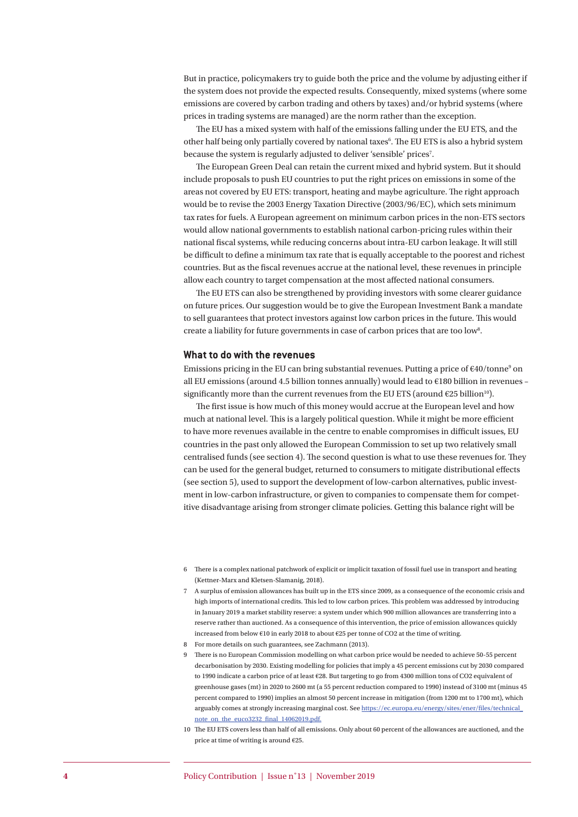But in practice, policymakers try to guide both the price and the volume by adjusting either if the system does not provide the expected results. Consequently, mixed systems (where some emissions are covered by carbon trading and others by taxes) and/or hybrid systems (where prices in trading systems are managed) are the norm rather than the exception.

The EU has a mixed system with half of the emissions falling under the EU ETS, and the other half being only partially covered by national taxes<sup>6</sup>. The EU ETS is also a hybrid system because the system is regularly adjusted to deliver 'sensible' prices<sup>7</sup>.

The European Green Deal can retain the current mixed and hybrid system. But it should include proposals to push EU countries to put the right prices on emissions in some of the areas not covered by EU ETS: transport, heating and maybe agriculture. The right approach would be to revise the 2003 Energy Taxation Directive (2003/96/EC), which sets minimum tax rates for fuels. A European agreement on minimum carbon prices in the non-ETS sectors would allow national governments to establish national carbon-pricing rules within their national fiscal systems, while reducing concerns about intra-EU carbon leakage. It will still be difficult to define a minimum tax rate that is equally acceptable to the poorest and richest countries. But as the fiscal revenues accrue at the national level, these revenues in principle allow each country to target compensation at the most affected national consumers.

The EU ETS can also be strengthened by providing investors with some clearer guidance on future prices. Our suggestion would be to give the European Investment Bank a mandate to sell guarantees that protect investors against low carbon prices in the future. This would create a liability for future governments in case of carbon prices that are too low<sup>8</sup>.

#### **What to do with the revenues**

Emissions pricing in the EU can bring substantial revenues. Putting a price of €40/tonne<sup>9</sup> on all EU emissions (around 4.5 billion tonnes annually) would lead to €180 billion in revenues – significantly more than the current revenues from the EU ETS (around  $E25$  billion<sup>10</sup>).

The first issue is how much of this money would accrue at the European level and how much at national level. This is a largely political question. While it might be more efficient to have more revenues available in the centre to enable compromises in difficult issues. EU countries in the past only allowed the European Commission to set up two relatively small centralised funds (see section 4). The second question is what to use these revenues for. They can be used for the general budget, returned to consumers to mitigate distributional effects (see section 5), used to support the development of low-carbon alternatives, public investment in low-carbon infrastructure, or given to companies to compensate them for competitive disadvantage arising from stronger climate policies. Getting this balance right will be

- 8 For more details on such guarantees, see Zachmann (2013).
- 9 There is no European Commission modelling on what carbon price would be needed to achieve 50-55 percent decarbonisation by 2030. Existing modelling for policies that imply a 45 percent emissions cut by 2030 compared to 1990 indicate a carbon price of at least €28. But targeting to go from 4300 million tons of CO2 equivalent of greenhouse gases (mt) in 2020 to 2600 mt (a 55 percent reduction compared to 1990) instead of 3100 mt (minus 45 percent compared to 1990) implies an almost 50 percent increase in mitigation (from 1200 mt to 1700 mt), which arguably comes at strongly increasing marginal cost. See https://ec.europa.eu/energy/sites/ener/files/technical note\_on\_the\_euco3232\_final\_14062019.pdf.
- 10 The EU ETS covers less than half of all emissions. Only about 60 percent of the allowances are auctioned, and the price at time of writing is around €25.

<sup>6</sup> Th ere is a complex national patchwork of explicit or implicit taxation of fossil fuel use in transport and heating (Kettner-Marx and Kletsen-Slamanig, 2018).

<sup>7</sup> A surplus of emission allowances has built up in the ETS since 2009, as a consequence of the economic crisis and high imports of international credits. This led to low carbon prices. This problem was addressed by introducing in January 2019 a market stability reserve: a system under which 900 million allowances are transferring into a reserve rather than auctioned. As a consequence of this intervention, the price of emission allowances quickly increased from below €10 in early 2018 to about €25 per tonne of CO2 at the time of writing.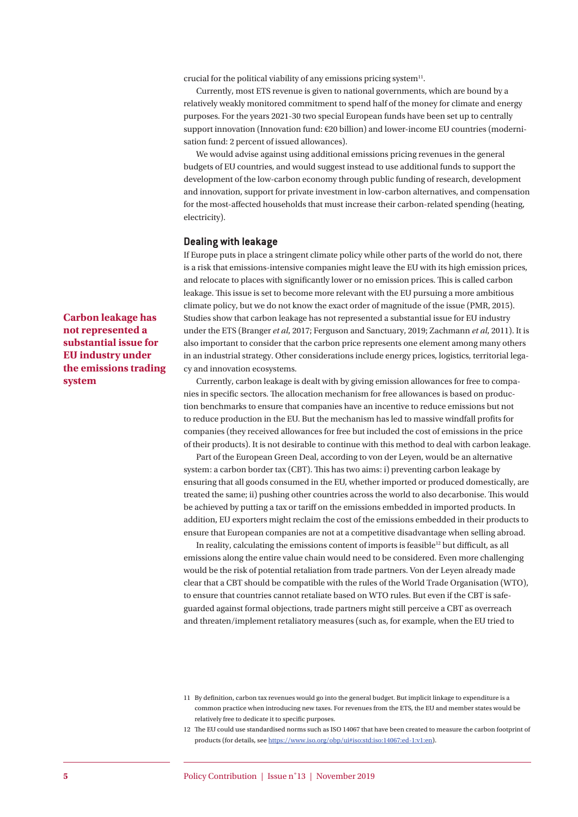crucial for the political viability of any emissions pricing system<sup>11</sup>.

Currently, most ETS revenue is given to national governments, which are bound by a relatively weakly monitored commitment to spend half of the money for climate and energy purposes. For the years 2021-30 two special European funds have been set up to centrally support innovation (Innovation fund: €20 billion) and lower-income EU countries (modernisation fund: 2 percent of issued allowances).

We would advise against using additional emissions pricing revenues in the general budgets of EU countries, and would suggest instead to use additional funds to support the development of the low-carbon economy through public funding of research, development and innovation, support for private investment in low-carbon alternatives, and compensation for the most-affected households that must increase their carbon-related spending (heating, electricity).

#### **Dealing with leakage**

If Europe puts in place a stringent climate policy while other parts of the world do not, there is a risk that emissions-intensive companies might leave the EU with its high emission prices, and relocate to places with significantly lower or no emission prices. This is called carbon leakage. This issue is set to become more relevant with the EU pursuing a more ambitious climate policy, but we do not know the exact order of magnitude of the issue (PMR, 2015). Studies show that carbon leakage has not represented a substantial issue for EU industry under the ETS (Branger *et al*, 2017; Ferguson and Sanctuary, 2019; Zachmann *et al*, 2011). It is also important to consider that the carbon price represents one element among many others in an industrial strategy. Other considerations include energy prices, logistics, territorial legacy and innovation ecosystems.

Currently, carbon leakage is dealt with by giving emission allowances for free to companies in specific sectors. The allocation mechanism for free allowances is based on production benchmarks to ensure that companies have an incentive to reduce emissions but not to reduce production in the EU. But the mechanism has led to massive windfall profits for companies (they received allowances for free but included the cost of emissions in the price of their products). It is not desirable to continue with this method to deal with carbon leakage.

Part of the European Green Deal, according to von der Leyen, would be an alternative system: a carbon border tax (CBT). This has two aims: i) preventing carbon leakage by ensuring that all goods consumed in the EU, whether imported or produced domestically, are treated the same; ii) pushing other countries across the world to also decarbonise. This would be achieved by putting a tax or tariff on the emissions embedded in imported products. In addition, EU exporters might reclaim the cost of the emissions embedded in their products to ensure that European companies are not at a competitive disadvantage when selling abroad.

In reality, calculating the emissions content of imports is feasible<sup>12</sup> but difficult, as all emissions along the entire value chain would need to be considered. Even more challenging would be the risk of potential retaliation from trade partners. Von der Leyen already made clear that a CBT should be compatible with the rules of the World Trade Organisation (WTO), to ensure that countries cannot retaliate based on WTO rules. But even if the CBT is safeguarded against formal objections, trade partners might still perceive a CBT as overreach and threaten/implement retaliatory measures (such as, for example, when the EU tried to

**Carbon leakage has not represented a substantial issue for EU industry under the emissions trading system**

<sup>11</sup> By definition, carbon tax revenues would go into the general budget. But implicit linkage to expenditure is a common practice when introducing new taxes. For revenues from the ETS, the EU and member states would be relatively free to dedicate it to specific purposes.

<sup>12</sup> The EU could use standardised norms such as ISO 14067 that have been created to measure the carbon footprint of products (for details, see https://www.iso.org/obp/ui#iso:std:iso:14067:ed-1:v1:en).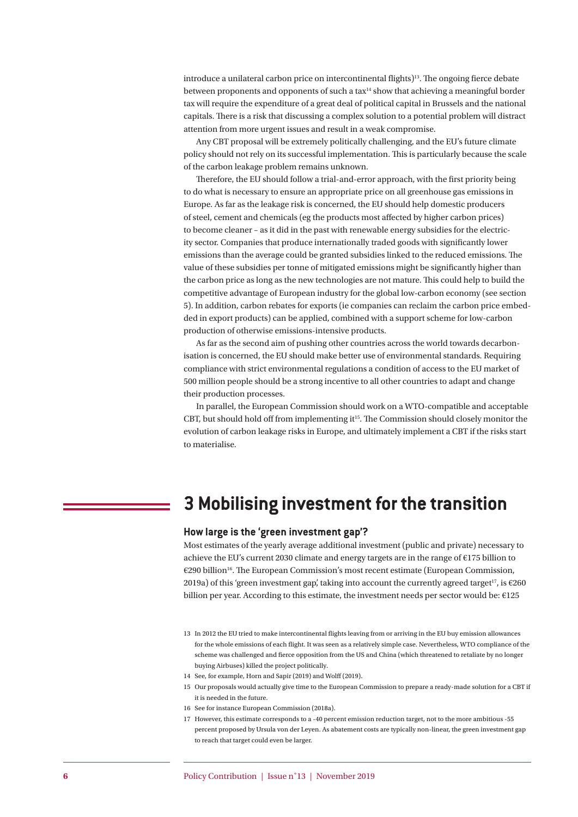introduce a unilateral carbon price on intercontinental flights)<sup>13</sup>. The ongoing fierce debate between proponents and opponents of such a tax<sup>14</sup> show that achieving a meaningful border tax will require the expenditure of a great deal of political capital in Brussels and the national capitals. There is a risk that discussing a complex solution to a potential problem will distract attention from more urgent issues and result in a weak compromise.

Any CBT proposal will be extremely politically challenging, and the EU's future climate policy should not rely on its successful implementation. This is particularly because the scale of the carbon leakage problem remains unknown.

Therefore, the EU should follow a trial-and-error approach, with the first priority being to do what is necessary to ensure an appropriate price on all greenhouse gas emissions in Europe. As far as the leakage risk is concerned, the EU should help domestic producers of steel, cement and chemicals (eg the products most affected by higher carbon prices) to become cleaner – as it did in the past with renewable energy subsidies for the electricity sector. Companies that produce internationally traded goods with significantly lower emissions than the average could be granted subsidies linked to the reduced emissions. The value of these subsidies per tonne of mitigated emissions might be significantly higher than the carbon price as long as the new technologies are not mature. This could help to build the competitive advantage of European industry for the global low-carbon economy (see section 5). In addition, carbon rebates for exports (ie companies can reclaim the carbon price embedded in export products) can be applied, combined with a support scheme for low-carbon production of otherwise emissions-intensive products.

As far as the second aim of pushing other countries across the world towards decarbonisation is concerned, the EU should make better use of environmental standards. Requiring compliance with strict environmental regulations a condition of access to the EU market of 500 million people should be a strong incentive to all other countries to adapt and change their production processes.

In parallel, the European Commission should work on a WTO-compatible and acceptable CBT, but should hold off from implementing it<sup>15</sup>. The Commission should closely monitor the evolution of carbon leakage risks in Europe, and ultimately implement a CBT if the risks start to materialise.

### **3 Mobilising investment for the transition**

#### **How large is the 'green investment gap'?**

Most estimates of the yearly average additional investment (public and private) necessary to achieve the EU's current 2030 climate and energy targets are in the range of €175 billion to €290 billion<sup>16</sup>. The European Commission's most recent estimate (European Commission, 2019a) of this 'green investment gap', taking into account the currently agreed target<sup>17</sup>, is  $\epsilon$ 260 billion per year. According to this estimate, the investment needs per sector would be: €125

- 13 In 2012 the EU tried to make intercontinental flights leaving from or arriving in the EU buy emission allowances for the whole emissions of each flight. It was seen as a relatively simple case. Nevertheless, WTO compliance of the scheme was challenged and fierce opposition from the US and China (which threatened to retaliate by no longer buying Airbuses) killed the project politically.
- 14 See, for example, Horn and Sapir (2019) and Wolff (2019).
- 15 Our proposals would actually give time to the European Commission to prepare a ready-made solution for a CBT if it is needed in the future.
- 16 See for instance European Commission (2018a).
- 17 However, this estimate corresponds to a -40 percent emission reduction target, not to the more ambitious -55 percent proposed by Ursula von der Leyen. As abatement costs are typically non-linear, the green investment gap to reach that target could even be larger.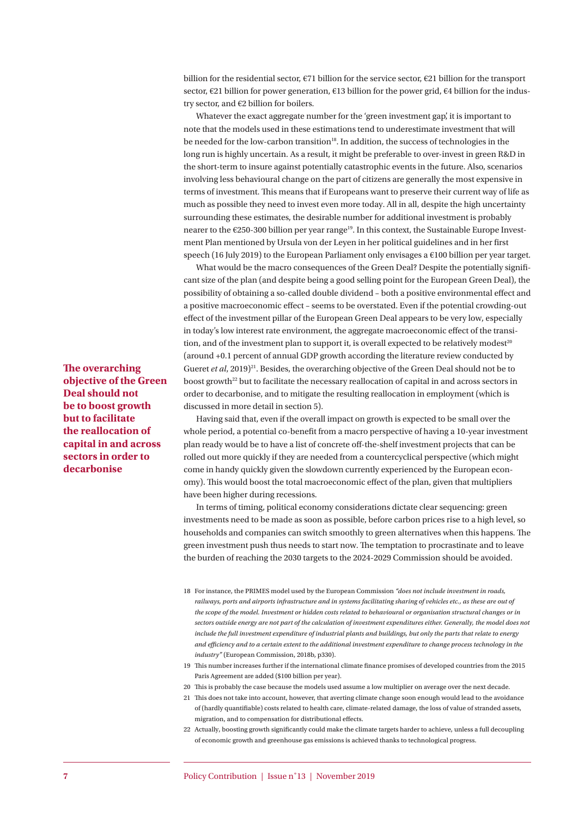billion for the residential sector, €71 billion for the service sector, €21 billion for the transport sector, €21 billion for power generation, €13 billion for the power grid, €4 billion for the industry sector, and €2 billion for boilers.

Whatever the exact aggregate number for the 'green investment gap', it is important to note that the models used in these estimations tend to underestimate investment that will be needed for the low-carbon transition<sup>18</sup>. In addition, the success of technologies in the long run is highly uncertain. As a result, it might be preferable to over-invest in green R&D in the short-term to insure against potentially catastrophic events in the future. Also, scenarios involving less behavioural change on the part of citizens are generally the most expensive in terms of investment. This means that if Europeans want to preserve their current way of life as much as possible they need to invest even more today. All in all, despite the high uncertainty surrounding these estimates, the desirable number for additional investment is probably nearer to the €250-300 billion per year range<sup>19</sup>. In this context, the Sustainable Europe Investment Plan mentioned by Ursula von der Leyen in her political guidelines and in her first speech (16 July 2019) to the European Parliament only envisages a  $\epsilon$ 100 billion per year target.

What would be the macro consequences of the Green Deal? Despite the potentially significant size of the plan (and despite being a good selling point for the European Green Deal), the possibility of obtaining a so-called double dividend - both a positive environmental effect and a positive macroeconomic effect – seems to be overstated. Even if the potential crowding-out effect of the investment pillar of the European Green Deal appears to be very low, especially in today's low interest rate environment, the aggregate macroeconomic effect of the transition, and of the investment plan to support it, is overall expected to be relatively modest<sup>20</sup> (around +0.1 percent of annual GDP growth according the literature review conducted by Gueret *et al*, 2019)<sup>21</sup>. Besides, the overarching objective of the Green Deal should not be to boost growth $^{22}$  but to facilitate the necessary reallocation of capital in and across sectors in order to decarbonise, and to mitigate the resulting reallocation in employment (which is discussed in more detail in section 5).

Having said that, even if the overall impact on growth is expected to be small over the whole period, a potential co-benefit from a macro perspective of having a 10-year investment plan ready would be to have a list of concrete off -the-shelf investment projects that can be rolled out more quickly if they are needed from a countercyclical perspective (which might come in handy quickly given the slowdown currently experienced by the European economy). This would boost the total macroeconomic effect of the plan, given that multipliers have been higher during recessions.

In terms of timing, political economy considerations dictate clear sequencing: green investments need to be made as soon as possible, before carbon prices rise to a high level, so households and companies can switch smoothly to green alternatives when this happens. The green investment push thus needs to start now. The temptation to procrastinate and to leave the burden of reaching the 2030 targets to the 2024-2029 Commission should be avoided.

- 18 For instance, the PRIMES model used by the European Commission *"does not include investment in roads, railways, ports and airports infrastructure and in systems facilitating sharing of vehicles etc., as these are out of the scope of the model. Investment or hidden costs related to behavioural or organisation structural changes or in sectors outside energy are not part of the calculation of investment expenditures either. Generally, the model does not include the full investment expenditure of industrial plants and buildings, but only the parts that relate to energy and effi ciency and to a certain extent to the additional investment expenditure to change process technology in the industry"* (European Commission, 2018b, p330).
- 19 This number increases further if the international climate finance promises of developed countries from the 2015 Paris Agreement are added (\$100 billion per year).
- 20 This is probably the case because the models used assume a low multiplier on average over the next decade.
- 21 This does not take into account, however, that averting climate change soon enough would lead to the avoidance of (hardly quantifiable) costs related to health care, climate-related damage, the loss of value of stranded assets, migration, and to compensation for distributional effects.
- 22 Actually, boosting growth significantly could make the climate targets harder to achieve, unless a full decoupling of economic growth and greenhouse gas emissions is achieved thanks to technological progress.

**The overarching objective of the Green Deal should not be to boost growth but to facilitate the reallocation of capital in and across sectors in order to decarbonise**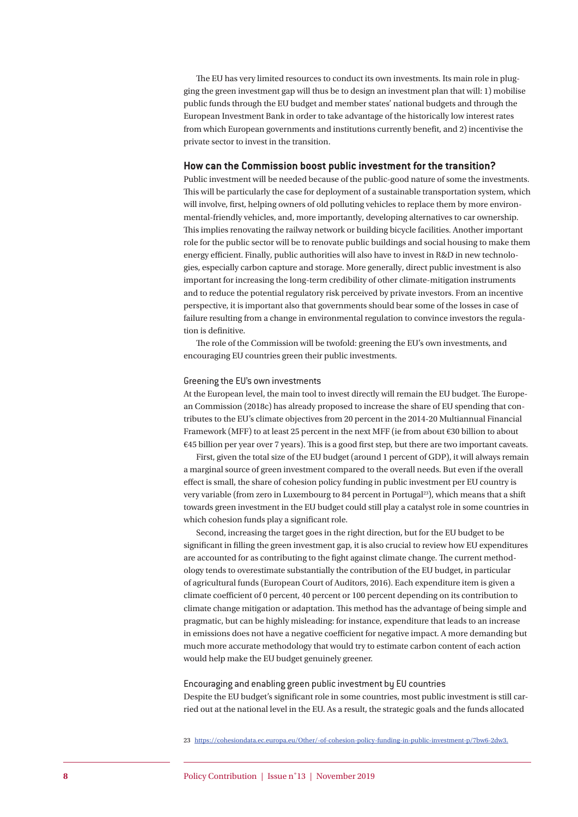The EU has very limited resources to conduct its own investments. Its main role in plugging the green investment gap will thus be to design an investment plan that will: 1) mobilise public funds through the EU budget and member states' national budgets and through the European Investment Bank in order to take advantage of the historically low interest rates from which European governments and institutions currently benefit, and 2) incentivise the private sector to invest in the transition.

#### **How can the Commission boost public investment for the transition?**

Public investment will be needed because of the public-good nature of some the investments. This will be particularly the case for deployment of a sustainable transportation system, which will involve, first, helping owners of old polluting vehicles to replace them by more environmental-friendly vehicles, and, more importantly, developing alternatives to car ownership. This implies renovating the railway network or building bicycle facilities. Another important role for the public sector will be to renovate public buildings and social housing to make them energy efficient. Finally, public authorities will also have to invest in R&D in new technologies, especially carbon capture and storage. More generally, direct public investment is also important for increasing the long-term credibility of other climate-mitigation instruments and to reduce the potential regulatory risk perceived by private investors. From an incentive perspective, it is important also that governments should bear some of the losses in case of failure resulting from a change in environmental regulation to convince investors the regulation is definitive.

The role of the Commission will be twofold: greening the EU's own investments, and encouraging EU countries green their public investments.

#### Greening the EU's own investments

At the European level, the main tool to invest directly will remain the EU budget. The European Commission (2018c) has already proposed to increase the share of EU spending that contributes to the EU's climate objectives from 20 percent in the 2014-20 Multiannual Financial Framework (MFF) to at least 25 percent in the next MFF (ie from about €30 billion to about  $€45$  billion per year over 7 years). This is a good first step, but there are two important caveats.

First, given the total size of the EU budget (around 1 percent of GDP), it will always remain a marginal source of green investment compared to the overall needs. But even if the overall effect is small, the share of cohesion policy funding in public investment per EU country is very variable (from zero in Luxembourg to 84 percent in Portugal<sup>23</sup>), which means that a shift towards green investment in the EU budget could still play a catalyst role in some countries in which cohesion funds play a significant role.

Second, increasing the target goes in the right direction, but for the EU budget to be significant in filling the green investment gap, it is also crucial to review how EU expenditures are accounted for as contributing to the fight against climate change. The current methodology tends to overestimate substantially the contribution of the EU budget, in particular of agricultural funds (European Court of Auditors, 2016). Each expenditure item is given a climate coefficient of 0 percent, 40 percent or 100 percent depending on its contribution to climate change mitigation or adaptation. This method has the advantage of being simple and pragmatic, but can be highly misleading: for instance, expenditure that leads to an increase in emissions does not have a negative coefficient for negative impact. A more demanding but much more accurate methodology that would try to estimate carbon content of each action would help make the EU budget genuinely greener.

#### Encouraging and enabling green public investment by EU countries

Despite the EU budget's significant role in some countries, most public investment is still carried out at the national level in the EU. As a result, the strategic goals and the funds allocated

23 https://cohesiondata.ec.europa.eu/Other/-of-cohesion-policy-funding-in-public-investment-p/7bw6-2dw3.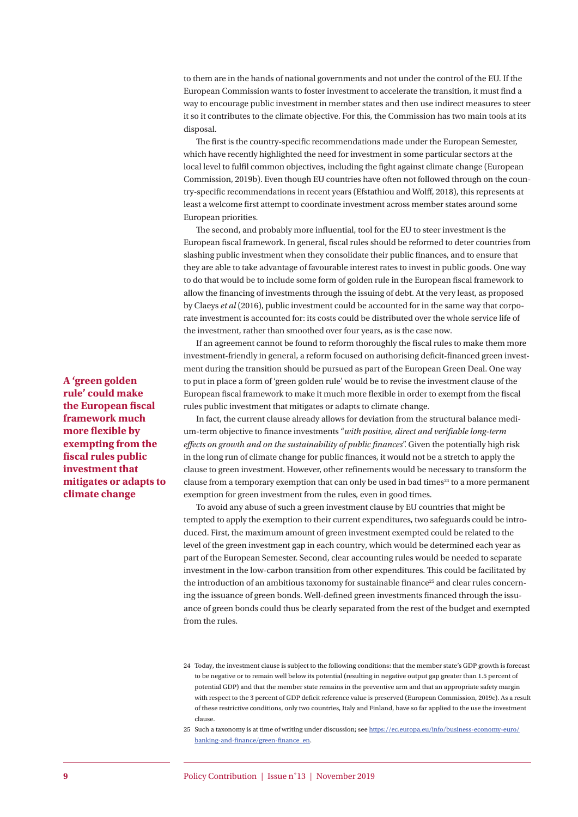to them are in the hands of national governments and not under the control of the EU. If the European Commission wants to foster investment to accelerate the transition, it must find a way to encourage public investment in member states and then use indirect measures to steer it so it contributes to the climate objective. For this, the Commission has two main tools at its disposal.

The first is the country-specific recommendations made under the European Semester, which have recently highlighted the need for investment in some particular sectors at the local level to fulfil common objectives, including the fight against climate change (European Commission, 2019b). Even though EU countries have often not followed through on the country-specific recommendations in recent years (Efstathiou and Wolff, 2018), this represents at least a welcome first attempt to coordinate investment across member states around some European priorities.

The second, and probably more influential, tool for the EU to steer investment is the European fiscal framework. In general, fiscal rules should be reformed to deter countries from slashing public investment when they consolidate their public finances, and to ensure that they are able to take advantage of favourable interest rates to invest in public goods. One way to do that would be to include some form of golden rule in the European fiscal framework to allow the financing of investments through the issuing of debt. At the very least, as proposed by Claeys *et al* (2016), public investment could be accounted for in the same way that corporate investment is accounted for: its costs could be distributed over the whole service life of the investment, rather than smoothed over four years, as is the case now.

If an agreement cannot be found to reform thoroughly the fiscal rules to make them more investment-friendly in general, a reform focused on authorising deficit-financed green investment during the transition should be pursued as part of the European Green Deal. One way to put in place a form of 'green golden rule' would be to revise the investment clause of the European fiscal framework to make it much more flexible in order to exempt from the fiscal rules public investment that mitigates or adapts to climate change.

In fact, the current clause already allows for deviation from the structural balance medium-term objective to finance investments "with positive, direct and verifiable long-term *effects on growth and on the sustainability of public finances*". Given the potentially high risk in the long run of climate change for public finances, it would not be a stretch to apply the clause to green investment. However, other refinements would be necessary to transform the clause from a temporary exemption that can only be used in bad times<sup>24</sup> to a more permanent exemption for green investment from the rules, even in good times.

To avoid any abuse of such a green investment clause by EU countries that might be tempted to apply the exemption to their current expenditures, two safeguards could be introduced. First, the maximum amount of green investment exempted could be related to the level of the green investment gap in each country, which would be determined each year as part of the European Semester. Second, clear accounting rules would be needed to separate investment in the low-carbon transition from other expenditures. This could be facilitated by the introduction of an ambitious taxonomy for sustainable finance<sup>25</sup> and clear rules concerning the issuance of green bonds. Well-defined green investments financed through the issuance of green bonds could thus be clearly separated from the rest of the budget and exempted from the rules.

**A 'green golden rule' could make the European fiscal framework much**  more flexible by **exempting from the fi scal rules public investment that mitigates or adapts to climate change**

<sup>24</sup> Today, the investment clause is subject to the following conditions: that the member state's GDP growth is forecast to be negative or to remain well below its potential (resulting in negative output gap greater than 1.5 percent of potential GDP) and that the member state remains in the preventive arm and that an appropriate safety margin with respect to the 3 percent of GDP deficit reference value is preserved (European Commission, 2019c). As a result of these restrictive conditions, only two countries, Italy and Finland, have so far applied to the use the investment clause.

<sup>25</sup> Such a taxonomy is at time of writing under discussion; see https://ec.europa.eu/info/business-economy-euro/ banking-and-finance/green-finance\_en.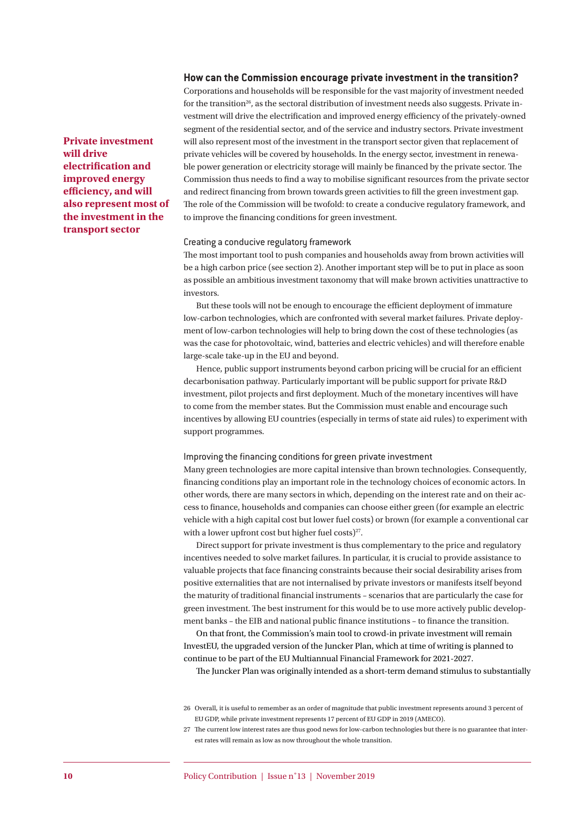#### **How can the Commission encourage private investment in the transition?**

Corporations and households will be responsible for the vast majority of investment needed for the transition<sup>26</sup>, as the sectoral distribution of investment needs also suggests. Private investment will drive the electrification and improved energy efficiency of the privately-owned segment of the residential sector, and of the service and industry sectors. Private investment will also represent most of the investment in the transport sector given that replacement of private vehicles will be covered by households. In the energy sector, investment in renewable power generation or electricity storage will mainly be financed by the private sector. The Commission thus needs to find a way to mobilise significant resources from the private sector and redirect financing from brown towards green activities to fill the green investment gap. The role of the Commission will be twofold: to create a conducive regulatory framework, and to improve the financing conditions for green investment.

#### Creating a conducive regulatory framework

The most important tool to push companies and households away from brown activities will be a high carbon price (see section 2). Another important step will be to put in place as soon as possible an ambitious investment taxonomy that will make brown activities unattractive to investors.

But these tools will not be enough to encourage the efficient deployment of immature low-carbon technologies, which are confronted with several market failures. Private deployment of low-carbon technologies will help to bring down the cost of these technologies (as was the case for photovoltaic, wind, batteries and electric vehicles) and will therefore enable large-scale take-up in the EU and beyond.

Hence, public support instruments beyond carbon pricing will be crucial for an efficient decarbonisation pathway. Particularly important will be public support for private R&D investment, pilot projects and first deployment. Much of the monetary incentives will have to come from the member states. But the Commission must enable and encourage such incentives by allowing EU countries (especially in terms of state aid rules) to experiment with support programmes.

#### Improving the financing conditions for green private investment

Many green technologies are more capital intensive than brown technologies. Consequently, financing conditions play an important role in the technology choices of economic actors. In other words, there are many sectors in which, depending on the interest rate and on their access to finance, households and companies can choose either green (for example an electric vehicle with a high capital cost but lower fuel costs) or brown (for example a conventional car with a lower upfront cost but higher fuel costs)<sup>27</sup>.

Direct support for private investment is thus complementary to the price and regulatory incentives needed to solve market failures. In particular, it is crucial to provide assistance to valuable projects that face financing constraints because their social desirability arises from positive externalities that are not internalised by private investors or manifests itself beyond the maturity of traditional financial instruments - scenarios that are particularly the case for green investment. The best instrument for this would be to use more actively public development banks - the EIB and national public finance institutions - to finance the transition.

On that front, the Commission's main tool to crowd-in private investment will remain InvestEU, the upgraded version of the Juncker Plan, which at time of writing is planned to continue to be part of the EU Multiannual Financial Framework for 2021-2027.

The Juncker Plan was originally intended as a short-term demand stimulus to substantially

**Private investment will drive electrification and improved energy efficiency**, and will **also represent most of the investment in the transport sector**

<sup>26</sup> Overall, it is useful to remember as an order of magnitude that public investment represents around 3 percent of EU GDP, while private investment represents 17 percent of EU GDP in 2019 (AMECO).

<sup>27</sup> The current low interest rates are thus good news for low-carbon technologies but there is no guarantee that interest rates will remain as low as now throughout the whole transition.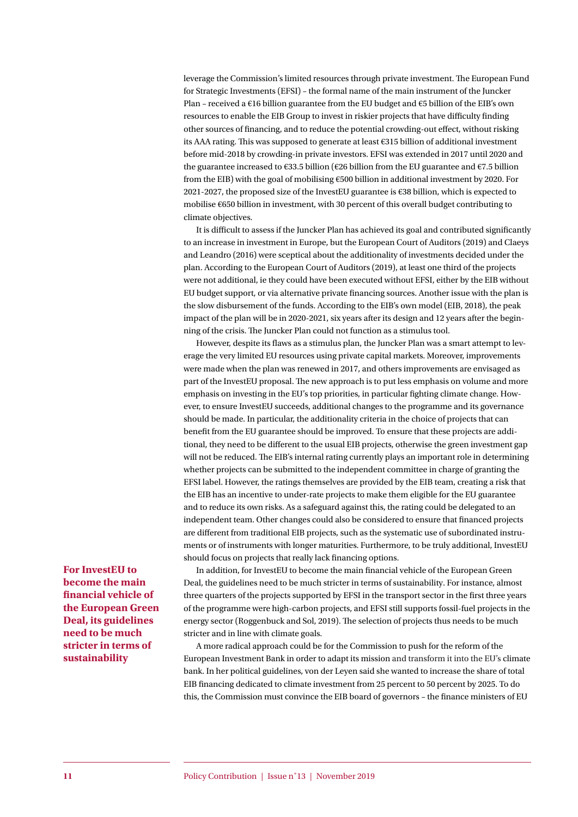leverage the Commission's limited resources through private investment. The European Fund for Strategic Investments (EFSI) – the formal name of the main instrument of the Juncker Plan – received a  $\epsilon$ 16 billion guarantee from the EU budget and  $\epsilon$ 5 billion of the EIB's own resources to enable the EIB Group to invest in riskier projects that have difficulty finding other sources of financing, and to reduce the potential crowding-out effect, without risking its AAA rating. This was supposed to generate at least  $\epsilon$ 315 billion of additional investment before mid-2018 by crowding-in private investors. EFSI was extended in 2017 until 2020 and the guarantee increased to  $\epsilon$ 33.5 billion ( $\epsilon$ 26 billion from the EU guarantee and  $\epsilon$ 7.5 billion from the EIB) with the goal of mobilising €500 billion in additional investment by 2020. For 2021-2027, the proposed size of the InvestEU guarantee is €38 billion, which is expected to mobilise €650 billion in investment, with 30 percent of this overall budget contributing to climate objectives.

It is difficult to assess if the Juncker Plan has achieved its goal and contributed significantly to an increase in investment in Europe, but the European Court of Auditors (2019) and Claeys and Leandro (2016) were sceptical about the additionality of investments decided under the plan. According to the European Court of Auditors (2019), at least one third of the projects were not additional, ie they could have been executed without EFSI, either by the EIB without EU budget support, or via alternative private financing sources. Another issue with the plan is the slow disbursement of the funds. According to the EIB's own model (EIB, 2018), the peak impact of the plan will be in 2020-2021, six years after its design and 12 years after the beginning of the crisis. The Juncker Plan could not function as a stimulus tool.

However, despite its flaws as a stimulus plan, the Juncker Plan was a smart attempt to leverage the very limited EU resources using private capital markets. Moreover, improvements were made when the plan was renewed in 2017, and others improvements are envisaged as part of the InvestEU proposal. The new approach is to put less emphasis on volume and more emphasis on investing in the EU's top priorities, in particular fighting climate change. However, to ensure InvestEU succeeds, additional changes to the programme and its governance should be made. In particular, the additionality criteria in the choice of projects that can benefit from the EU guarantee should be improved. To ensure that these projects are additional, they need to be different to the usual EIB projects, otherwise the green investment gap will not be reduced. The EIB's internal rating currently plays an important role in determining whether projects can be submitted to the independent committee in charge of granting the EFSI label. However, the ratings themselves are provided by the EIB team, creating a risk that the EIB has an incentive to under-rate projects to make them eligible for the EU guarantee and to reduce its own risks. As a safeguard against this, the rating could be delegated to an independent team. Other changes could also be considered to ensure that financed projects are different from traditional EIB projects, such as the systematic use of subordinated instruments or of instruments with longer maturities. Furthermore, to be truly additional, InvestEU should focus on projects that really lack financing options.

In addition, for InvestEU to become the main financial vehicle of the European Green Deal, the guidelines need to be much stricter in terms of sustainability. For instance, almost three quarters of the projects supported by EFSI in the transport sector in the first three years of the programme were high-carbon projects, and EFSI still supports fossil-fuel projects in the energy sector (Roggenbuck and Sol, 2019). The selection of projects thus needs to be much stricter and in line with climate goals.

A more radical approach could be for the Commission to push for the reform of the European Investment Bank in order to adapt its mission and transform it into the EU's climate bank. In her political guidelines, von der Leyen said she wanted to increase the share of total EIB financing dedicated to climate investment from 25 percent to 50 percent by 2025. To do this, the Commission must convince the EIB board of governors - the finance ministers of EU

**For InvestEU to become the main fi nancial vehicle of the European Green Deal, its guidelines need to be much stricter in terms of sustainability**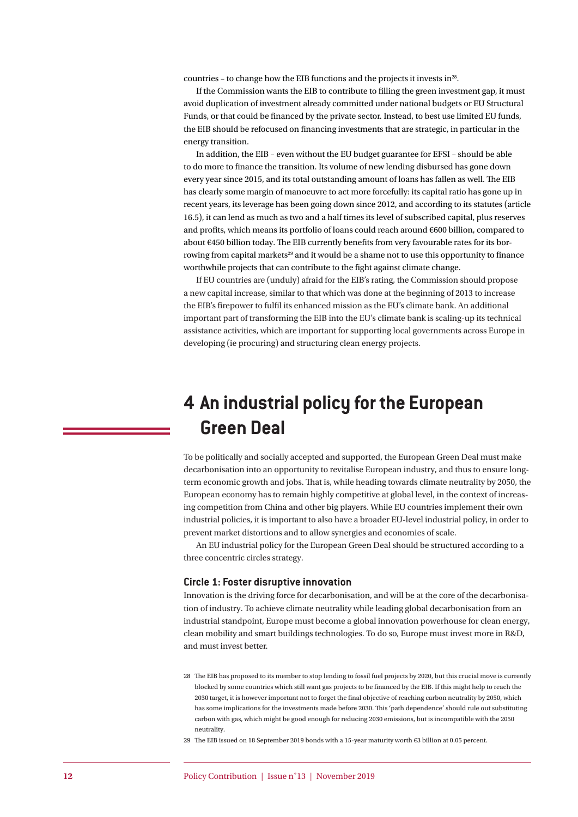countries - to change how the EIB functions and the projects it invests in<sup>28</sup>.

If the Commission wants the EIB to contribute to filling the green investment gap, it must avoid duplication of investment already committed under national budgets or EU Structural Funds, or that could be financed by the private sector. Instead, to best use limited EU funds, the EIB should be refocused on financing investments that are strategic, in particular in the energy transition.

In addition, the EIB – even without the EU budget guarantee for EFSI – should be able to do more to finance the transition. Its volume of new lending disbursed has gone down every year since 2015, and its total outstanding amount of loans has fallen as well. The EIB has clearly some margin of manoeuvre to act more forcefully: its capital ratio has gone up in recent years, its leverage has been going down since 2012, and according to its statutes (article 16.5), it can lend as much as two and a half times its level of subscribed capital, plus reserves and profits, which means its portfolio of loans could reach around  $€600$  billion, compared to about €450 billion today. The EIB currently benefits from very favourable rates for its borrowing from capital markets<sup>29</sup> and it would be a shame not to use this opportunity to finance worthwhile projects that can contribute to the fight against climate change.

If EU countries are (unduly) afraid for the EIB's rating, the Commission should propose a new capital increase, similar to that which was done at the beginning of 2013 to increase the EIB's firepower to fulfil its enhanced mission as the EU's climate bank. An additional important part of transforming the EIB into the EU's climate bank is scaling-up its technical assistance activities, which are important for supporting local governments across Europe in developing (ie procuring) and structuring clean energy projects.

# **4 An industrial policy for the European Green Deal**

To be politically and socially accepted and supported, the European Green Deal must make decarbonisation into an opportunity to revitalise European industry, and thus to ensure longterm economic growth and jobs. That is, while heading towards climate neutrality by 2050, the European economy has to remain highly competitive at global level, in the context of increasing competition from China and other big players. While EU countries implement their own industrial policies, it is important to also have a broader EU-level industrial policy, in order to prevent market distortions and to allow synergies and economies of scale.

An EU industrial policy for the European Green Deal should be structured according to a three concentric circles strategy.

#### **Circle 1: Foster disruptive innovation**

Innovation is the driving force for decarbonisation, and will be at the core of the decarbonisation of industry. To achieve climate neutrality while leading global decarbonisation from an industrial standpoint, Europe must become a global innovation powerhouse for clean energy, clean mobility and smart buildings technologies. To do so, Europe must invest more in R&D, and must invest better.

- 28 The EIB has proposed to its member to stop lending to fossil fuel projects by 2020, but this crucial move is currently blocked by some countries which still want gas projects to be financed by the EIB. If this might help to reach the 2030 target, it is however important not to forget the final objective of reaching carbon neutrality by 2050, which has some implications for the investments made before 2030. This 'path dependence' should rule out substituting carbon with gas, which might be good enough for reducing 2030 emissions, but is incompatible with the 2050 neutrality.
- 29 The EIB issued on 18 September 2019 bonds with a 15-year maturity worth €3 billion at 0.05 percent.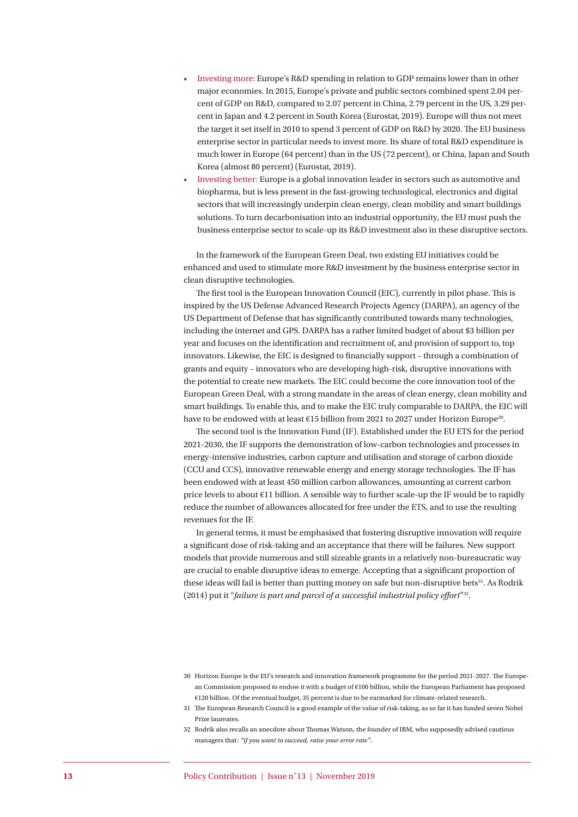- Investing more: Europe's R&D spending in relation to GDP remains lower than in other major economies. In 2015, Europe's private and public sectors combined spent 2.04 percent of GDP on R&D, compared to 2.07 percent in China, 2.79 percent in the US, 3.29 percent in Japan and 4.2 percent in South Korea ( Eurostat, 2019). Europe will thus not meet the target it set itself in 2010 to spend 3 percent of GDP on R&D by 2020. The EU business enterprise sector in particular needs to invest more. Its share of total R&D expenditure is much lower in Europe (64 percent) than in the US (72 percent), or China, Japan and South Korea (almost 80 percent) (Eurostat, 2019).
- Investing better: Europe is a global innovation leader in sectors such as automotive and biopharma, but is less present in the fast-growing technological, electronics and digital sectors that will increasingly underpin clean energy, clean mobility and smart buildings solutions. To turn decarbonisation into an industrial opportunity, the EU must push the business enterprise sector to scale-up its R&D investment also in these disruptive sectors.

In the framework of the European Green Deal, two existing EU initiatives could be enhanced and used to stimulate more R&D investment by the business enterprise sector in clean disruptive technologies.

The first tool is the European Innovation Council (EIC), currently in pilot phase. This is inspired by the US Defense Advanced Research Projects Agency (DARPA), an agency of the US Department of Defense that has significantly contributed towards many technologies, including the internet and GPS. DARPA has a rather limited budget of about \$3 billion per year and focuses on the identification and recruitment of, and provision of support to, top innovators. Likewise, the EIC is designed to financially support - through a combination of grants and equity – innovators who are developing high-risk, disruptive innovations with the potential to create new markets. The EIC could become the core innovation tool of the European Green Deal, with a strong mandate in the areas of clean energy, clean mobility and smart buildings. To enable this, and to make the EIC truly comparable to DARPA, the EIC will have to be endowed with at least  $\epsilon$ 15 billion from 2021 to 2027 under Horizon Europe<sup>30</sup>.

The second tool is the Innovation Fund (IF). Established under the EU ETS for the period 2021-2030, the IF supports the demonstration of low-carbon technologies and processes in energy-intensive industries, carbon capture and utilisation and storage of carbon dioxide (CCU and CCS), innovative renewable energy and energy storage technologies. The IF has been endowed with at least 450 million carbon allowances, amounting at current carbon price levels to about €11 billion. A sensible way to further scale-up the IF would be to rapidly reduce the number of allowances allocated for free under the ETS, and to use the resulting revenues for the IF.

In general terms, it must be emphasised that fostering disruptive innovation will require a significant dose of risk-taking and an acceptance that there will be failures. New support models that provide numerous and still sizeable grants in a relatively non-bureaucratic way are crucial to enable disruptive ideas to emerge. Accepting that a significant proportion of these ideas will fail is better than putting money on safe but non-disruptive bets<sup>31</sup>. As Rodrik (2014) put it "*failure is part and parcel of a successful industrial policy effort*"<sup>32</sup>.

32 Rodrik also recalls an anecdote about Thomas Watson, the founder of IBM, who supposedly advised cautious managers that: *"if you want to succeed, raise your error rate"*.

<sup>30</sup> Horizon Europe is the EU's research and innovation framework programme for the period 2021-2027. The European Commission proposed to endow it with a budget of €100 billion, while the European Parliament has proposed €120 billion. Of the eventual budget, 35 percent is due to be earmarked for climate-related research.

<sup>31</sup> The European Research Council is a good example of the value of risk-taking, as so far it has funded seven Nobel Prize laureates.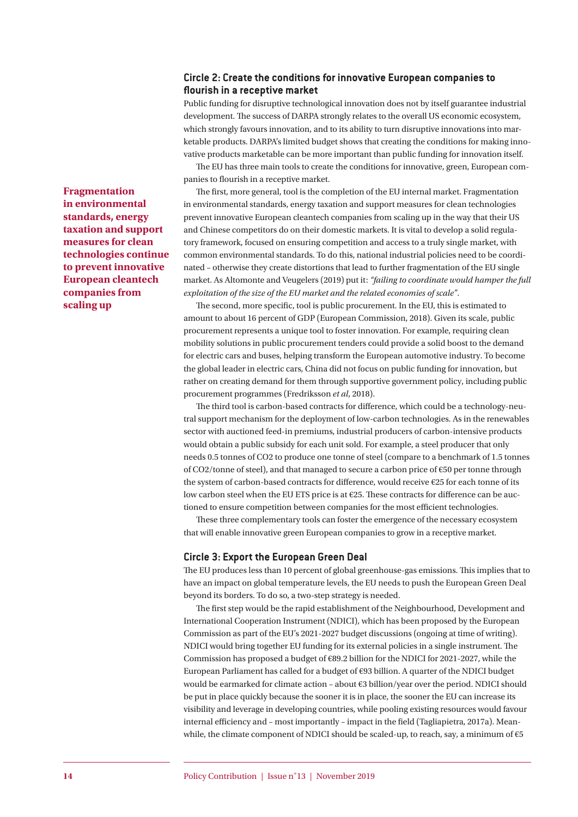#### **Circle 2: Create the conditions for innovative European companies to fl ourish in a receptive market**

Public funding for disruptive technological innovation does not by itself guarantee industrial development. The success of DARPA strongly relates to the overall US economic ecosystem, which strongly favours innovation, and to its ability to turn disruptive innovations into marketable products. DARPA's limited budget shows that creating the conditions for making innovative products marketable can be more important than public funding for innovation itself.

The EU has three main tools to create the conditions for innovative, green, European companies to flourish in a receptive market.

The first, more general, tool is the completion of the EU internal market. Fragmentation in environmental standards, energy taxation and support measures for clean technologies prevent innovative European cleantech companies from scaling up in the way that their US and Chinese competitors do on their domestic markets. It is vital to develop a solid regulatory framework, focused on ensuring competition and access to a truly single market, with common environmental standards. To do this, national industrial policies need to be coordinated – otherwise they create distortions that lead to further fragmentation of the EU single market. As Altomonte and Veugelers (2019) put it: *"failing to coordinate would hamper the full exploitation of the size of the EU market and the related economies of scale"*.

The second, more specific, tool is public procurement. In the EU, this is estimated to amount to about 16 percent of GDP (European Commission, 2018). Given its scale, public procurement represents a unique tool to foster innovation. For example, requiring clean mobility solutions in public procurement tenders could provide a solid boost to the demand for electric cars and buses, helping transform the European automotive industry. To become the global leader in electric cars, China did not focus on public funding for innovation, but rather on creating demand for them through supportive government policy, including public procurement programmes (Fredriksson *et al*, 2018).

The third tool is carbon-based contracts for difference, which could be a technology-neutral support mechanism for the deployment of low-carbon technologies. As in the renewables sector with auctioned feed-in premiums, industrial producers of carbon-intensive products would obtain a public subsidy for each unit sold. For example, a steel producer that only needs 0.5 tonnes of CO2 to produce one tonne of steel (compare to a benchmark of 1.5 tonnes of CO2/tonne of steel), and that managed to secure a carbon price of €50 per tonne through the system of carbon-based contracts for difference, would receive  $E25$  for each tonne of its low carbon steel when the EU ETS price is at  $E25$ . These contracts for difference can be auctioned to ensure competition between companies for the most efficient technologies.

These three complementary tools can foster the emergence of the necessary ecosystem that will enable innovative green European companies to grow in a receptive market.

#### **Circle 3: Export the European Green Deal**

The EU produces less than 10 percent of global greenhouse-gas emissions. This implies that to have an impact on global temperature levels, the EU needs to push the European Green Deal beyond its borders. To do so, a two-step strategy is needed.

The first step would be the rapid establishment of the Neighbourhood, Development and International Cooperation Instrument (NDICI), which has been proposed by the European Commission as part of the EU's 2021-2027 budget discussions (ongoing at time of writing). NDICI would bring together EU funding for its external policies in a single instrument. The Commission has proposed a budget of  $\epsilon$ 89.2 billion for the NDICI for 2021-2027, while the European Parliament has called for a budget of €93 billion. A quarter of the NDICI budget would be earmarked for climate action – about €3 billion/year over the period. NDICI should be put in place quickly because the sooner it is in place, the sooner the EU can increase its visibility and leverage in developing countries, while pooling existing resources would favour internal efficiency and – most importantly – impact in the field (Tagliapietra, 2017a). Meanwhile, the climate component of NDICI should be scaled-up, to reach, say, a minimum of  $\epsilon$ 5

**Fragmentation in environmental standards, energy taxation and support measures for clean technologies continue to prevent innovative European cleantech companies from scaling up**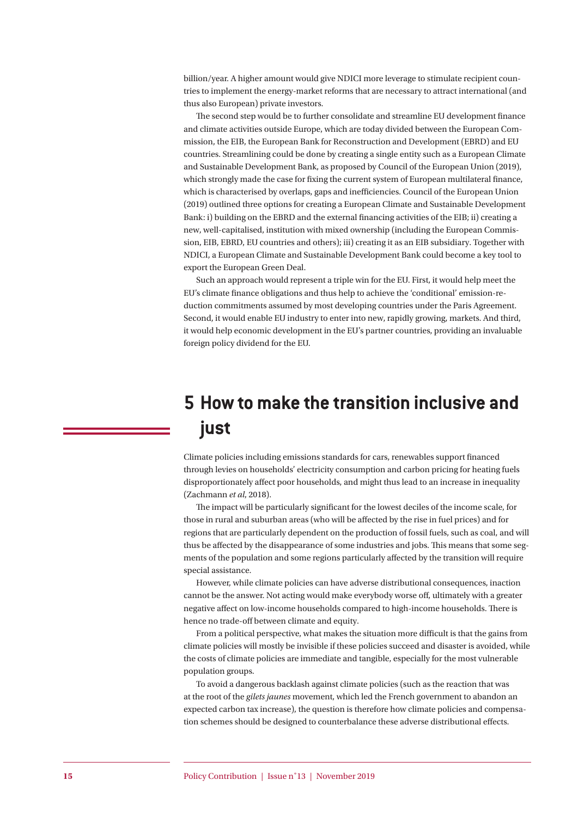billion/year. A higher amount would give NDICI more leverage to stimulate recipient countries to implement the energy-market reforms that are necessary to attract international (and thus also European) private investors.

The second step would be to further consolidate and streamline EU development finance and climate activities outside Europe, which are today divided between the European Commission, the EIB, the European Bank for Reconstruction and Development (EBRD) and EU countries. Streamlining could be done by creating a single entity such as a European Climate and Sustainable Development Bank, as proposed by Council of the European Union (2019), which strongly made the case for fixing the current system of European multilateral finance, which is characterised by overlaps, gaps and inefficiencies. Council of the European Union (2019) outlined three options for creating a European Climate and Sustainable Development Bank: i) building on the EBRD and the external financing activities of the EIB; ii) creating a new, well-capitalised, institution with mixed ownership (including the European Commission, EIB, EBRD, EU countries and others); iii) creating it as an EIB subsidiary. Together with NDICI, a European Climate and Sustainable Development Bank could become a key tool to export the European Green Deal.

Such an approach would represent a triple win for the EU. First, it would help meet the EU's climate finance obligations and thus help to achieve the 'conditional' emission-reduction commitments assumed by most developing countries under the Paris Agreement. Second, it would enable EU industry to enter into new, rapidly growing, markets. And third, it would help economic development in the EU's partner countries, providing an invaluable foreign policy dividend for the EU.

# **5 How to make the transition inclusive and just**

Climate policies including emissions standards for cars, renewables support financed through levies on households' electricity consumption and carbon pricing for heating fuels disproportionately affect poor households, and might thus lead to an increase in inequality (Zachmann *et al*, 2018).

The impact will be particularly significant for the lowest deciles of the income scale, for those in rural and suburban areas (who will be affected by the rise in fuel prices) and for regions that are particularly dependent on the production of fossil fuels, such as coal, and will thus be affected by the disappearance of some industries and jobs. This means that some segments of the population and some regions particularly affected by the transition will require special assistance.

However, while climate policies can have adverse distributional consequences, inaction cannot be the answer. Not acting would make everybody worse off , ultimately with a greater negative affect on low-income households compared to high-income households. There is hence no trade-off between climate and equity.

From a political perspective, what makes the situation more difficult is that the gains from climate policies will mostly be invisible if these policies succeed and disaster is avoided, while the costs of climate policies are immediate and tangible, especially for the most vulnerable population groups.

To avoid a dangerous backlash against climate policies (such as the reaction that was at the root of the *gilets jaunes* movement, which led the French government to abandon an expected carbon tax increase), the question is therefore how climate policies and compensation schemes should be designed to counterbalance these adverse distributional effects.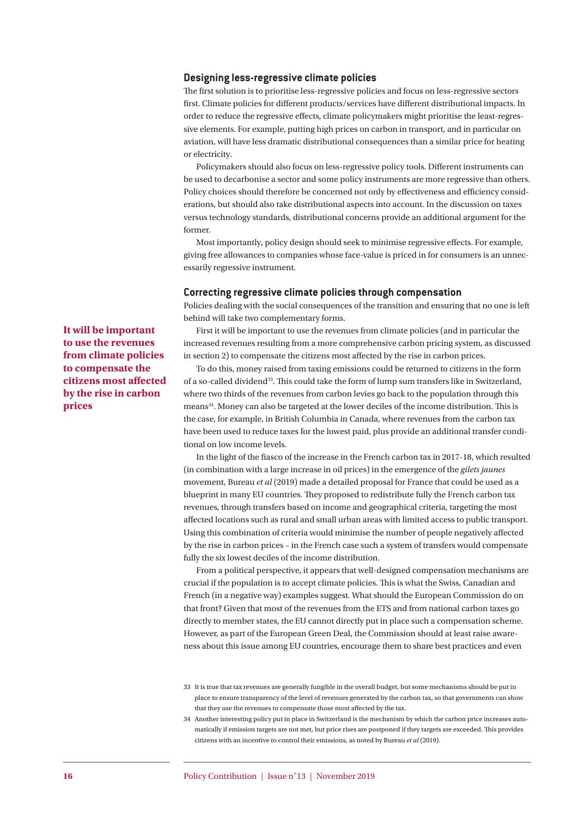#### **Designing less-regressive climate policies**

The first solution is to prioritise less-regressive policies and focus on less-regressive sectors first. Climate policies for different products/services have different distributional impacts. In order to reduce the regressive effects, climate policymakers might prioritise the least-regressive elements. For example, putting high prices on carbon in transport, and in particular on aviation, will have less dramatic distributional consequences than a similar price for heating or electricity.

Policymakers should also focus on less-regressive policy tools. Different instruments can be used to decarbonise a sector and some policy instruments are more regressive than others. Policy choices should therefore be concerned not only by effectiveness and efficiency considerations, but should also take distributional aspects into account. In the discussion on taxes versus technology standards, distributional concerns provide an additional argument for the former.

Most importantly, policy design should seek to minimise regressive effects. For example, giving free allowances to companies whose face-value is priced in for consumers is an unnecessarily regressive instrument.

#### **Correcting regressive climate policies through compensation**

Policies dealing with the social consequences of the transition and ensuring that no one is left behind will take two complementary forms.

First it will be important to use the revenues from climate policies (and in particular the increased revenues resulting from a more comprehensive carbon pricing system, as discussed in section 2) to compensate the citizens most affected by the rise in carbon prices.

To do this, money raised from taxing emissions could be returned to citizens in the form of a so-called dividend<sup>33</sup>. This could take the form of lump sum transfers like in Switzerland, where two thirds of the revenues from carbon levies go back to the population through this means<sup>34</sup>. Money can also be targeted at the lower deciles of the income distribution. This is the case, for example, in British Columbia in Canada, where revenues from the carbon tax have been used to reduce taxes for the lowest paid, plus provide an additional transfer conditional on low income levels.

In the light of the fiasco of the increase in the French carbon tax in 2017-18, which resulted (in combination with a large increase in oil prices) in the emergence of the *gilets jaunes* movement, Bureau *et al* (2019) made a detailed proposal for France that could be used as a blueprint in many EU countries. They proposed to redistribute fully the French carbon tax revenues, through transfers based on income and geographical criteria, targeting the most affected locations such as rural and small urban areas with limited access to public transport. Using this combination of criteria would minimise the number of people negatively affected by the rise in carbon prices – in the French case such a system of transfers would compensate fully the six lowest deciles of the income distribution.

From a political perspective, it appears that well-designed compensation mechanisms are crucial if the population is to accept climate policies. This is what the Swiss, Canadian and French (in a negative way) examples suggest. What should the European Commission do on that front? Given that most of the revenues from the ETS and from national carbon taxes go directly to member states, the EU cannot directly put in place such a compensation scheme. However, as part of the European Green Deal, the Commission should at least raise awareness about this issue among EU countries, encourage them to share best practices and even

**It will be important to use the revenues from climate policies to compensate the citizens most affected by the rise in carbon prices**

<sup>33</sup> It is true that tax revenues are generally fungible in the overall budget, but some mechanisms should be put in place to ensure transparency of the level of revenues generated by the carbon tax, so that governments can show that they use the revenues to compensate those most affected by the tax.

<sup>34</sup> Another interesting policy put in place in Switzerland is the mechanism by which the carbon price increases automatically if emission targets are not met, but price rises are postponed if they targets are exceeded. This provides citizens with an incentive to control their emissions, as noted by Bureau *et al* (2019).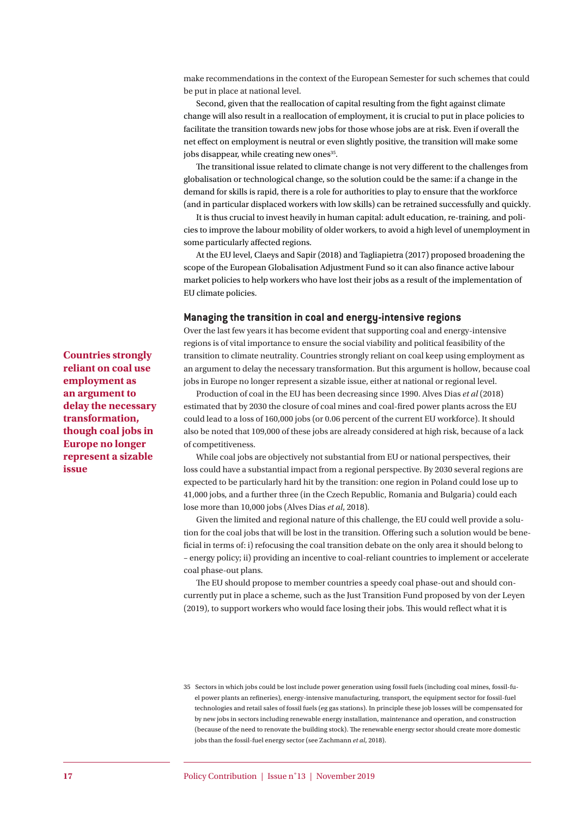make recommendations in the context of the European Semester for such schemes that could be put in place at national level.

Second, given that the reallocation of capital resulting from the fight against climate change will also result in a reallocation of employment, it is crucial to put in place policies to facilitate the transition towards new jobs for those whose jobs are at risk. Even if overall the net effect on employment is neutral or even slightly positive, the transition will make some jobs disappear, while creating new ones<sup>35</sup>.

The transitional issue related to climate change is not very different to the challenges from globalisation or technological change, so the solution could be the same: if a change in the demand for skills is rapid, there is a role for authorities to play to ensure that the workforce (and in particular displaced workers with low skills) can be retrained successfully and quickly.

It is thus crucial to invest heavily in human capital: adult education, re-training, and policies to improve the labour mobility of older workers, to avoid a high level of unemployment in some particularly affected regions.

At the EU level, Claeys and Sapir (2018) and Tagliapietra (2017) proposed broadening the scope of the European Globalisation Adjustment Fund so it can also finance active labour market policies to help workers who have lost their jobs as a result of the implementation of EU climate policies.

#### **Managing the transition in coal and energy-intensive regions**

Over the last few years it has become evident that supporting coal and energy-intensive regions is of vital importance to ensure the social viability and political feasibility of the transition to climate neutrality. Countries strongly reliant on coal keep using employment as an argument to delay the necessary transformation. But this argument is hollow, because coal jobs in Europe no longer represent a sizable issue, either at national or regional level.

Production of coal in the EU has been decreasing since 1990. Alves Dias *et al* (2018) estimated that by 2030 the closure of coal mines and coal-fired power plants across the EU could lead to a loss of 160,000 jobs (or 0.06 percent of the current EU workforce). It should also be noted that 109,000 of these jobs are already considered at high risk, because of a lack of competitiveness.

While coal jobs are objectively not substantial from EU or national perspectives, their loss could have a substantial impact from a regional perspective. By 2030 several regions are expected to be particularly hard hit by the transition: one region in Poland could lose up to 41,000 jobs, and a further three (in the Czech Republic, Romania and Bulgaria) could each lose more than 10,000 jobs (Alves Dias *et al*, 2018).

Given the limited and regional nature of this challenge, the EU could well provide a solution for the coal jobs that will be lost in the transition. Offering such a solution would be beneficial in terms of: i) refocusing the coal transition debate on the only area it should belong to – energy policy; ii) providing an incentive to coal-reliant countries to implement or accelerate coal phase-out plans.

The EU should propose to member countries a speedy coal phase-out and should concurrently put in place a scheme, such as the Just Transition Fund proposed by von der Leyen (2019), to support workers who would face losing their jobs. This would reflect what it is

**Countries strongly reliant on coal use employment as an argument to delay the necessary transformation, though coal jobs in Europe no longer represent a sizable issue**

<sup>35</sup> Sectors in which jobs could be lost include power generation using fossil fuels (including coal mines, fossil-fuel power plants an refineries), energy-intensive manufacturing, transport, the equipment sector for fossil-fuel technologies and retail sales of fossil fuels (eg gas stations). In principle these job losses will be compensated for by new jobs in sectors including renewable energy installation, maintenance and operation, and construction (because of the need to renovate the building stock). The renewable energy sector should create more domestic jobs than the fossil-fuel energy sector (see Zachmann *et al*, 2018).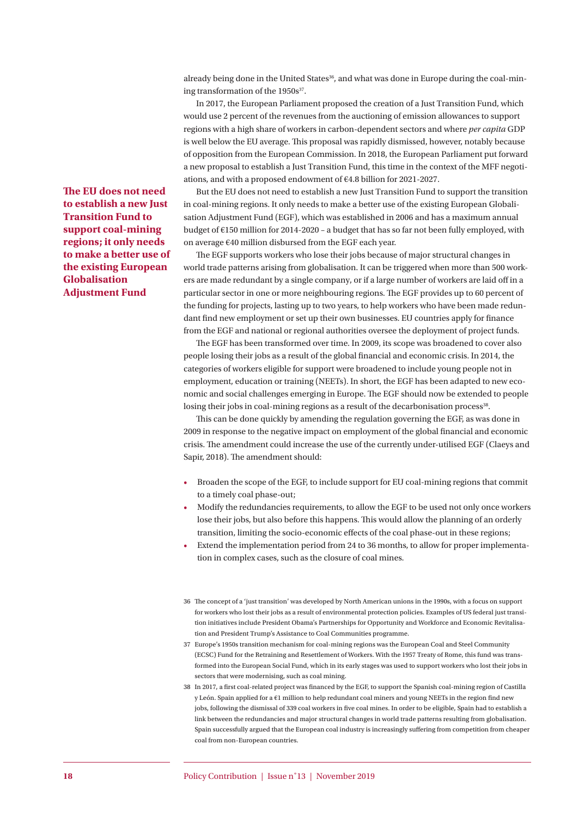already being done in the United States<sup>36</sup>, and what was done in Europe during the coal-mining transformation of the 1950s<sup>37</sup>.

In 2017, the European Parliament proposed the creation of a Just Transition Fund, which would use 2 percent of the revenues from the auctioning of emission allowances to support regions with a high share of workers in carbon-dependent sectors and where *per capita* GDP is well below the EU average. This proposal was rapidly dismissed, however, notably because of opposition from the European Commission. In 2018, the European Parliament put forward a new proposal to establish a Just Transition Fund, this time in the context of the MFF negotiations, and with a proposed endowment of €4.8 billion for 2021-2027.

But the EU does not need to establish a new Just Transition Fund to support the transition in coal-mining regions. It only needs to make a better use of the existing European Globalisation Adjustment Fund (EGF), which was established in 2006 and has a maximum annual budget of €150 million for 2014-2020 – a budget that has so far not been fully employed, with on average €40 million disbursed from the EGF each year.

The EGF supports workers who lose their jobs because of major structural changes in world trade patterns arising from globalisation. It can be triggered when more than 500 workers are made redundant by a single company, or if a large number of workers are laid off in a particular sector in one or more neighbouring regions. The EGF provides up to 60 percent of the funding for projects, lasting up to two years, to help workers who have been made redundant find new employment or set up their own businesses. EU countries apply for finance from the EGF and national or regional authorities oversee the deployment of project funds.

The EGF has been transformed over time. In 2009, its scope was broadened to cover also people losing their jobs as a result of the global financial and economic crisis. In 2014, the categories of workers eligible for support were broadened to include young people not in employment, education or training (NEETs). In short, the EGF has been adapted to new economic and social challenges emerging in Europe. The EGF should now be extended to people losing their jobs in coal-mining regions as a result of the decarbonisation process<sup>38</sup>.

This can be done quickly by amending the regulation governing the EGF, as was done in 2009 in response to the negative impact on employment of the global financial and economic crisis. The amendment could increase the use of the currently under-utilised EGF (Claeys and Sapir, 2018). The amendment should:

- Broaden the scope of the EGF, to include support for EU coal-mining regions that commit to a timely coal phase-out;
- Modify the redundancies requirements, to allow the EGF to be used not only once workers lose their jobs, but also before this happens. This would allow the planning of an orderly transition, limiting the socio-economic effects of the coal phase-out in these regions;
- Extend the implementation period from 24 to 36 months, to allow for proper implementation in complex cases, such as the closure of coal mines.
- 36 The concept of a 'just transition' was developed by North American unions in the 1990s, with a focus on support for workers who lost their jobs as a result of environmental protection policies. Examples of US federal just transition initiatives include President Obama's Partnerships for Opportunity and Workforce and Economic Revitalisation and President Trump's Assistance to Coal Communities programme.
- 37 Europe's 1950s transition mechanism for coal-mining regions was the European Coal and Steel Community (ECSC) Fund for the Retraining and Resettlement of Workers. With the 1957 Treaty of Rome, this fund was transformed into the European Social Fund, which in its early stages was used to support workers who lost their jobs in sectors that were modernising, such as coal mining.
- 38 In 2017, a first coal-related project was financed by the EGF, to support the Spanish coal-mining region of Castilla y León. Spain applied for a  $E1$  million to help redundant coal miners and young NEETs in the region find new jobs, following the dismissal of 339 coal workers in five coal mines. In order to be eligible, Spain had to establish a link between the redundancies and major structural changes in world trade patterns resulting from globalisation. Spain successfully argued that the European coal industry is increasingly suffering from competition from cheaper coal from non-European countries.

**The EU does not need to establish a new Just Transition Fund to support coal-mining regions; it only needs to make a better use of the existing European Globalisation Adjustment Fund**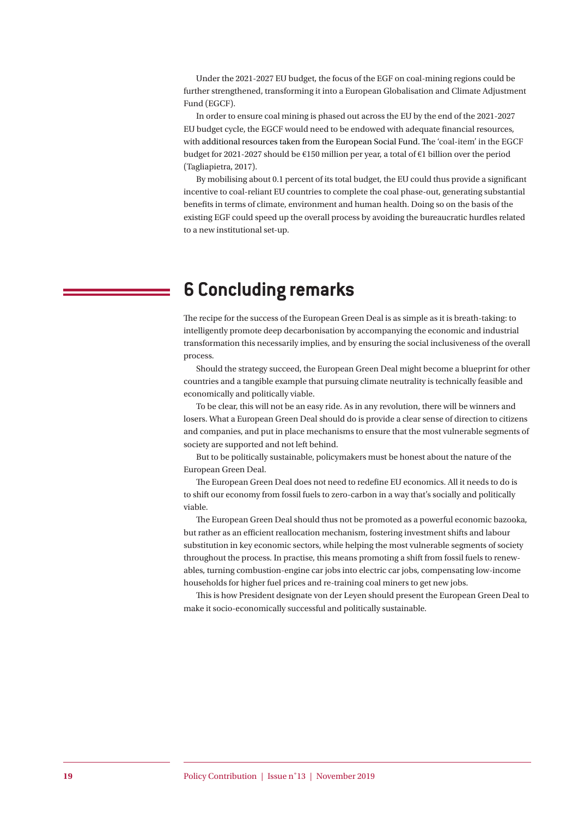Under the 2021-2027 EU budget, the focus of the EGF on coal-mining regions could be further strengthened, transforming it into a European Globalisation and Climate Adjustment Fund (EGCF).

In order to ensure coal mining is phased out across the EU by the end of the 2021-2027 EU budget cycle, the EGCF would need to be endowed with adequate financial resources, with additional resources taken from the European Social Fund. The 'coal-item' in the EGCF budget for 2021-2027 should be €150 million per year, a total of €1 billion over the period (Tagliapietra, 2017).

By mobilising about 0.1 percent of its total budget, the EU could thus provide a significant incentive to coal-reliant EU countries to complete the coal phase-out, generating substantial benefits in terms of climate, environment and human health. Doing so on the basis of the existing EGF could speed up the overall process by avoiding the bureaucratic hurdles related to a new institutional set-up.

## **6 Concluding remarks**

The recipe for the success of the European Green Deal is as simple as it is breath-taking: to intelligently promote deep decarbonisation by accompanying the economic and industrial transformation this necessarily implies, and by ensuring the social inclusiveness of the overall process.

Should the strategy succeed, the European Green Deal might become a blueprint for other countries and a tangible example that pursuing climate neutrality is technically feasible and economically and politically viable.

To be clear, this will not be an easy ride. As in any revolution, there will be winners and losers. What a European Green Deal should do is provide a clear sense of direction to citizens and companies, and put in place mechanisms to ensure that the most vulnerable segments of society are supported and not left behind.

But to be politically sustainable, policymakers must be honest about the nature of the European Green Deal.

The European Green Deal does not need to redefine EU economics. All it needs to do is to shift our economy from fossil fuels to zero-carbon in a way that's socially and politically viable.

The European Green Deal should thus not be promoted as a powerful economic bazooka, but rather as an efficient reallocation mechanism, fostering investment shifts and labour substitution in key economic sectors, while helping the most vulnerable segments of society throughout the process. In practise, this means promoting a shift from fossil fuels to renewables, turning combustion-engine car jobs into electric car jobs, compensating low-income households for higher fuel prices and re-training coal miners to get new jobs.

This is how President designate von der Leyen should present the European Green Deal to make it socio-economically successful and politically sustainable.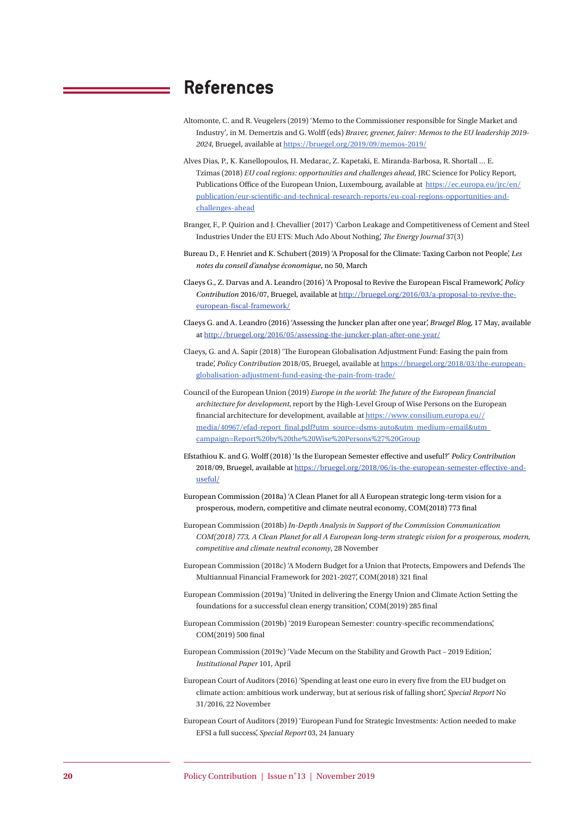### **References**

- Altomonte, C. and R. Veugelers (2019) 'Memo to the Commissioner responsible for Single Market and Industry'*,* in M. Demertzis and G. Wolff (eds) *Braver, greener, fairer: Memos to the EU leadership 2019- 2024*, Bruegel, available at https://bruegel.org/2019/09/memos-2019/
- Alves Dias, P., K. Kanellopoulos, H. Medarac, Z. Kapetaki, E. Miranda-Barbosa, R. Shortall … E. Tzimas (2018) *EU coal regions: opportunities and challenges ahead*, JRC Science for Policy Report, Publications Office of the European Union, Luxembourg, available at https://ec.europa.eu/jrc/en/ publication/eur-scientific-and-technical-research-reports/eu-coal-regions-opportunities-andchallenges-ahead
- Branger, F., P. Quirion and J. Chevallier (2017) 'Carbon Leakage and Competitiveness of Cement and Steel Industries Under the EU ETS: Much Ado About Nothing', *The Energy Journal* 37(3)
- Bureau D., F. Henriet and K. Schubert (2019) 'A Proposal for the Climate: Taxing Carbon not People', *Les notes du conseil d'analyse économique*, no 50, March
- Claeys G., Z. Darvas and A. Leandro (2016) 'A Proposal to Revive the European Fiscal Framework', *Policy Contribution* 2016/07, Bruegel, available at http://bruegel.org/2016/03/a-proposal-to-revive-theeuropean-fiscal-framework/
- Claeys G. and A. Leandro (2016) 'Assessing the Juncker plan after one year', *Bruegel Blog*, 17 May, available at http://bruegel.org/2016/05/assessing-the-juncker-plan-after-one-year/
- Claeys, G. and A. Sapir (2018) 'The European Globalisation Adjustment Fund: Easing the pain from trade', *Policy Contribution* 2018/05, Bruegel, available at https://bruegel.org/2018/03/the-europeanglobalisation-adjustment-fund-easing-the-pain-from-trade/
- Council of the European Union (2019) *Europe in the world: The future of the European financial architecture for development*, report by the High-Level Group of Wise Persons on the European financial architecture for development, available at https://www.consilium.europa.eu// media/40967/efad-report\_final.pdf?utm\_source=dsms-auto&utm\_medium=email&utm\_ campaign=Report%20by%20the%20Wise%20Persons%27%20Group
- Efstathiou K. and G. Wolff (2018) 'Is the European Semester eff ective and useful?' *Policy Contribution* 2018/09, Bruegel, available at https://bruegel.org/2018/06/is-the-european-semester-effective-anduseful/
- European Commission (2018a) 'A Clean Planet for all A European strategic long-term vision for a prosperous, modern, competitive and climate neutral economy, COM(2018) 773 final
- European Commission (2018b) *In-Depth Analysis in Support of the Commission Communication COM(2018) 773, A Clean Planet for all A European long-term strategic vision for a prosperous, modern, competitive and climate neutral economy*, 28 November
- European Commission (2018c) 'A Modern Budget for a Union that Protects, Empowers and Defends The Multiannual Financial Framework for 2021-2027', COM(2018) 321 final
- European Commission (2019a) 'United in delivering the Energy Union and Climate Action Setting the foundations for a successful clean energy transition', COM(2019) 285 final
- European Commission (2019b) '2019 European Semester: country-specific recommendations', COM(2019) 500 final
- European Commission (2019c) 'Vade Mecum on the Stability and Growth Pact 2019 Edition', *Institutional Paper* 101, April
- European Court of Auditors (2016) 'Spending at least one euro in every five from the EU budget on climate action: ambitious work underway, but at serious risk of falling short', *Special Report* No 31/2016, 22 November
- European Court of Auditors (2019) 'European Fund for Strategic Investments: Action needed to make EFSI a full success', *Special Report* 03, 24 January